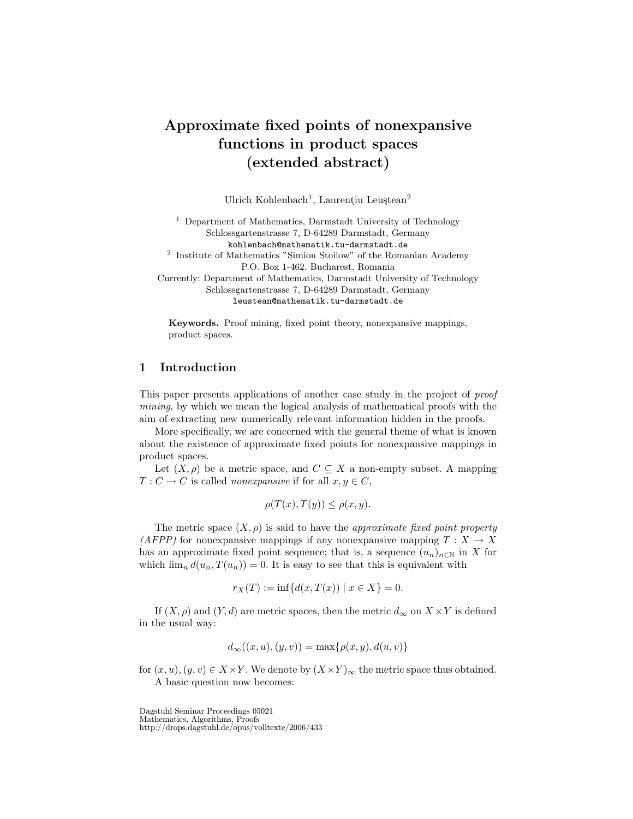# Approximate fixed points of nonexpansive functions in product spaces (extended abstract)

Ulrich Kohlenbach<sup>1</sup>, Laurențiu Leuștean<sup>2</sup>

<sup>1</sup> Department of Mathematics, Darmstadt University of Technology Schlossgartenstrasse 7, D-64289 Darmstadt, Germany kohlenbach@mathematik.tu-darmstadt.de <sup>2</sup> Institute of Mathematics "Simion Stoilow" of the Romanian Academy P.O. Box 1-462, Bucharest, Romania

Currently: Department of Mathematics, Darmstadt University of Technology Schlossgartenstrasse 7, D-64289 Darmstadt, Germany leustean@mathematik.tu-darmstadt.de

Keywords. Proof mining, fixed point theory, nonexpansive mappings, product spaces.

## 1 Introduction

This paper presents applications of another case study in the project of proof mining, by which we mean the logical analysis of mathematical proofs with the aim of extracting new numerically relevant information hidden in the proofs.

More specifically, we are concerned with the general theme of what is known about the existence of approximate fixed points for nonexpansive mappings in product spaces.

Let  $(X, \rho)$  be a metric space, and  $C \subseteq X$  a non-empty subset. A mapping  $T: C \to C$  is called *nonexpansive* if for all  $x, y \in C$ ,

$$
\rho(T(x), T(y)) \le \rho(x, y).
$$

The metric space  $(X, \rho)$  is said to have the *approximate fixed point property* (AFPP) for nonexpansive mappings if any nonexpansive mapping  $T : X \to X$ has an approximate fixed point sequence; that is, a sequence  $(u_n)_{n\in\mathbb{N}}$  in X for which  $\lim_{n} d(u_n, T(u_n)) = 0$ . It is easy to see that this is equivalent with

$$
r_X(T) := \inf \{ d(x, T(x)) \mid x \in X \} = 0.
$$

If  $(X, \rho)$  and  $(Y, d)$  are metric spaces, then the metric  $d_{\infty}$  on  $X \times Y$  is defined in the usual way:

$$
d_{\infty}((x, u), (y, v)) = \max\{\rho(x, y), d(u, v)\}\
$$

for  $(x, u), (y, v) \in X \times Y$ . We denote by  $(X \times Y)_{\infty}$  the metric space thus obtained. A basic question now becomes:

Dagstuhl Seminar Proceedings 05021 Mathematics, Algorithms, Proofs http://drops.dagstuhl.de/opus/volltexte/2006/433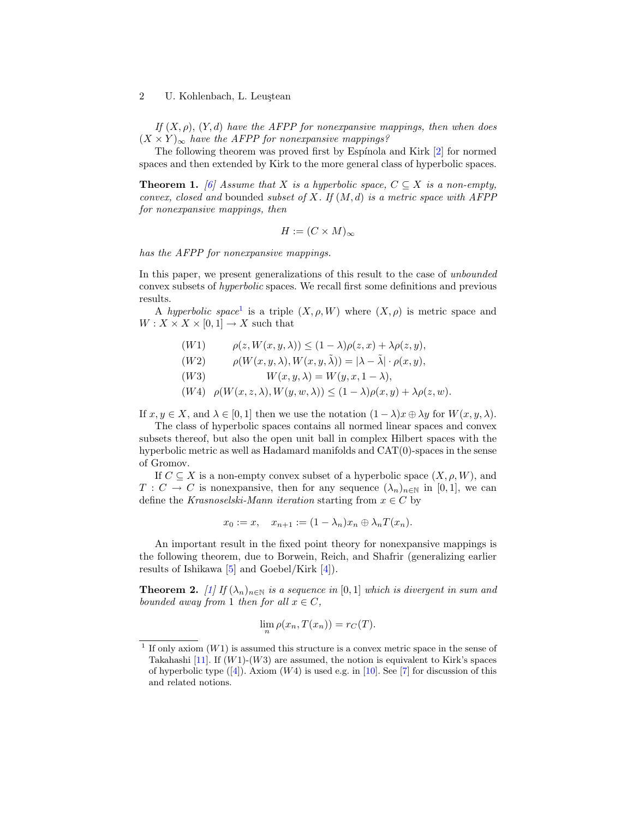#### 2 U. Kohlenbach, L. Leustean

If  $(X, \rho)$ ,  $(Y, d)$  have the AFPP for nonexpansive mappings, then when does  $(X \times Y)_{\infty}$  have the AFPP for nonexpansive mappings?

The following theorem was proved first by Espínola and Kirk [\[2\]](#page-3-0) for normed spaces and then extended by Kirk to the more general class of hyperbolic spaces.

<span id="page-1-2"></span>**Theorem 1.** [\[6\]](#page-4-0) Assume that X is a hyperbolic space,  $C \subseteq X$  is a non-empty, convex, closed and bounded subset of X. If  $(M, d)$  is a metric space with AFPP for nonexpansive mappings, then

$$
H := (C \times M)_{\infty}
$$

has the AFPP for nonexpansive mappings.

In this paper, we present generalizations of this result to the case of unbounded convex subsets of hyperbolic spaces. We recall first some definitions and previous results.

A hyperbolic space<sup>[1](#page-1-0)</sup> is a triple  $(X, \rho, W)$  where  $(X, \rho)$  is metric space and  $W: X \times X \times [0,1] \rightarrow X$  such that

- (W1)  $\rho(z, W(x, y, \lambda)) \leq (1 \lambda)\rho(z, x) + \lambda \rho(z, y),$
- $(W2)$   $\rho(W(x, y, \lambda), W(x, y, \tilde{\lambda})) = |\lambda \tilde{\lambda}| \cdot \rho(x, y),$
- (W3)  $W(x, y, \lambda) = W(y, x, 1 \lambda),$
- $(W4)$   $\rho(W(x, z, \lambda), W(y, w, \lambda)) \leq (1 \lambda)\rho(x, y) + \lambda \rho(z, w).$

If  $x, y \in X$ , and  $\lambda \in [0, 1]$  then we use the notation  $(1 - \lambda)x \oplus \lambda y$  for  $W(x, y, \lambda)$ .

The class of hyperbolic spaces contains all normed linear spaces and convex subsets thereof, but also the open unit ball in complex Hilbert spaces with the hyperbolic metric as well as Hadamard manifolds and CAT(0)-spaces in the sense of Gromov.

If  $C \subseteq X$  is a non-empty convex subset of a hyperbolic space  $(X, \rho, W)$ , and  $T: C \to C$  is nonexpansive, then for any sequence  $(\lambda_n)_{n\in\mathbb{N}}$  in [0,1], we can define the Krasnoselski-Mann iteration starting from  $x \in C$  by

$$
x_0 := x, \quad x_{n+1} := (1 - \lambda_n)x_n \oplus \lambda_n T(x_n).
$$

An important result in the fixed point theory for nonexpansive mappings is the following theorem, due to Borwein, Reich, and Shafrir (generalizing earlier results of Ishikawa [\[5\]](#page-4-1) and Goebel/Kirk [\[4\]](#page-3-1)).

<span id="page-1-1"></span>**Theorem 2.** [\[1\]](#page-3-2) If  $(\lambda_n)_{n \in \mathbb{N}}$  is a sequence in [0, 1] which is divergent in sum and bounded away from 1 then for all  $x \in C$ ,

$$
\lim_{n} \rho(x_n, T(x_n)) = r_C(T).
$$

<span id="page-1-0"></span><sup>&</sup>lt;sup>1</sup> If only axiom  $(W1)$  is assumed this structure is a convex metric space in the sense of Takahashi [\[11\]](#page-4-2). If  $(W1)-(W3)$  are assumed, the notion is equivalent to Kirk's spaces of hyperbolic type  $([4])$  $([4])$  $([4])$ . Axiom  $(W4)$  is used e.g. in [\[10\]](#page-4-3). See [\[7\]](#page-4-4) for discussion of this and related notions.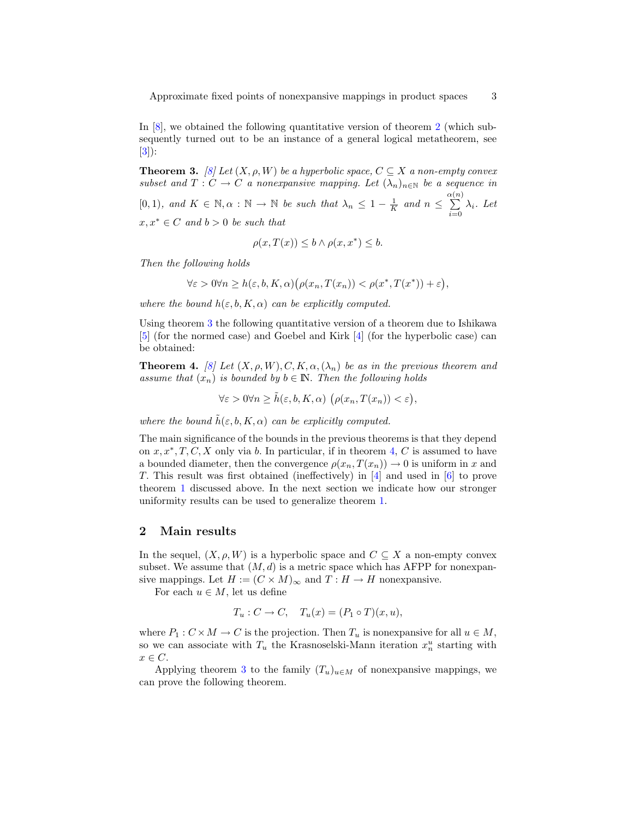Approximate fixed points of nonexpansive mappings in product spaces 3

In [\[8\]](#page-4-5), we obtained the following quantitative version of theorem [2](#page-1-1) (which subsequently turned out to be an instance of a general logical metatheorem, see [\[3\]](#page-3-3)):

<span id="page-2-0"></span>**Theorem 3.** [\[8\]](#page-4-5) Let  $(X, \rho, W)$  be a hyperbolic space,  $C \subseteq X$  a non-empty convex subset and  $T: C \to C$  a nonexpansive mapping. Let  $(\lambda_n)_{n \in \mathbb{N}}$  be a sequence in [0, 1), and  $K \in \mathbb{N}, \alpha : \mathbb{N} \to \mathbb{N}$  be such that  $\lambda_n \leq 1 - \frac{1}{K}$  and  $n \leq \sum_{n=1}^{\alpha(n)}$  $\sum_{i=0} \lambda_i$ . Let  $x, x^* \in C$  and  $b > 0$  be such that

$$
\rho(x, T(x)) \le b \land \rho(x, x^*) \le b.
$$

Then the following holds

$$
\forall \varepsilon > 0 \forall n \ge h(\varepsilon, b, K, \alpha) \big( \rho(x_n, T(x_n)) < \rho(x^*, T(x^*)) + \varepsilon \big),
$$

where the bound  $h(\varepsilon, b, K, \alpha)$  can be explicitly computed.

Using theorem [3](#page-2-0) the following quantitative version of a theorem due to Ishikawa [\[5\]](#page-4-1) (for the normed case) and Goebel and Kirk [\[4\]](#page-3-1) (for the hyperbolic case) can be obtained:

**Theorem 4.** [\[8\]](#page-4-5) Let  $(X, \rho, W), C, K, \alpha, (\lambda_n)$  be as in the previous theorem and assume that  $(x_n)$  is bounded by  $b \in \mathbb{N}$ . Then the following holds

<span id="page-2-1"></span> $\forall \varepsilon > 0 \forall n \geq \tilde{h}(\varepsilon, b, K, \alpha) \ (\rho(x_n, T(x_n)) < \varepsilon),$ 

where the bound  $\tilde{h}(\varepsilon, b, K, \alpha)$  can be explicitly computed.

The main significance of the bounds in the previous theorems is that they depend on  $x, x^*, T, C, X$  only via b. In particular, if in theorem [4,](#page-2-1) C is assumed to have a bounded diameter, then the convergence  $\rho(x_n, T(x_n)) \to 0$  is uniform in x and T. This result was first obtained (ineffectively) in [\[4\]](#page-3-1) and used in [\[6\]](#page-4-0) to prove theorem [1](#page-1-2) discussed above. In the next section we indicate how our stronger uniformity results can be used to generalize theorem [1.](#page-1-2)

# 2 Main results

In the sequel,  $(X, \rho, W)$  is a hyperbolic space and  $C \subseteq X$  a non-empty convex subset. We assume that  $(M, d)$  is a metric space which has AFPP for nonexpansive mappings. Let  $H := (C \times M)_{\infty}$  and  $T : H \to H$  nonexpansive.

For each  $u \in M$ , let us define

$$
T_u: C \to C, \quad T_u(x) = (P_1 \circ T)(x, u),
$$

where  $P_1: C \times M \to C$  is the projection. Then  $T_u$  is nonexpansive for all  $u \in M$ , so we can associate with  $T_u$  the Krasnoselski-Mann iteration  $x_n^u$  starting with  $x \in C$ .

Applying theorem [3](#page-2-0) to the family  $(T_u)_{u \in M}$  of nonexpansive mappings, we can prove the following theorem.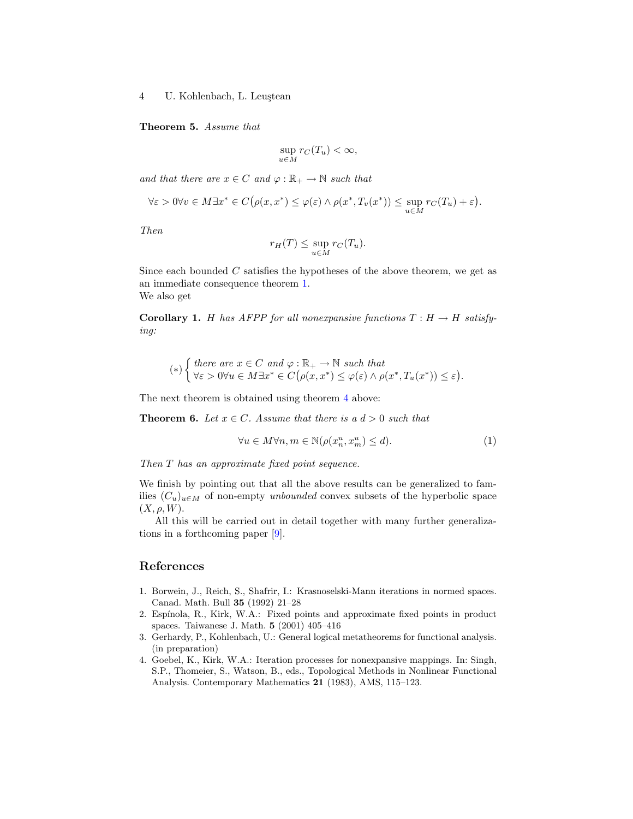4 U. Kohlenbach, L. Leuştean

Theorem 5. Assume that

$$
\sup_{u \in M} r_C(T_u) < \infty,
$$

and that there are  $x \in C$  and  $\varphi : \mathbb{R}_+ \to \mathbb{N}$  such that

$$
\forall \varepsilon > 0 \forall v \in M \exists x^* \in C \big( \rho(x, x^*) \leq \varphi(\varepsilon) \land \rho(x^*, T_v(x^*)) \leq \sup_{u \in M} r_C(T_u) + \varepsilon \big).
$$

Then

$$
r_H(T) \le \sup_{u \in M} r_C(T_u).
$$

Since each bounded  $C$  satisfies the hypotheses of the above theorem, we get as an immediate consequence theorem [1.](#page-1-2) We also get

**Corollary 1.** H has AFPP for all nonexpansive functions  $T : H \to H$  satisfying:

$$
(*)\begin{cases} there \ are \ x \in C \ and \ \varphi : \mathbb{R}_+ \to \mathbb{N} \ such \ that \\ \forall \varepsilon > 0 \forall u \in M \exists x^* \in C(\rho(x, x^*) \le \varphi(\varepsilon) \land \rho(x^*, T_u(x^*)) \le \varepsilon). \end{cases}
$$

The next theorem is obtained using theorem [4](#page-2-1) above:

**Theorem 6.** Let  $x \in C$ . Assume that there is a  $d > 0$  such that

$$
\forall u \in M \forall n, m \in \mathbb{N} (\rho(x_n^u, x_m^u) \le d). \tag{1}
$$

Then T has an approximate fixed point sequence.

We finish by pointing out that all the above results can be generalized to families  $(C_u)_{u \in M}$  of non-empty unbounded convex subsets of the hyperbolic space  $(X, \rho, W)$ .

All this will be carried out in detail together with many further generalizations in a forthcoming paper [\[9\]](#page-4-6).

### References

- <span id="page-3-2"></span>1. Borwein, J., Reich, S., Shafrir, I.: Krasnoselski-Mann iterations in normed spaces. Canad. Math. Bull 35 (1992) 21–28
- <span id="page-3-0"></span>2. Espínola, R., Kirk, W.A.: Fixed points and approximate fixed points in product spaces. Taiwanese J. Math. 5 (2001) 405–416
- <span id="page-3-3"></span>3. Gerhardy, P., Kohlenbach, U.: General logical metatheorems for functional analysis. (in preparation)
- <span id="page-3-1"></span>4. Goebel, K., Kirk, W.A.: Iteration processes for nonexpansive mappings. In: Singh, S.P., Thomeier, S., Watson, B., eds., Topological Methods in Nonlinear Functional Analysis. Contemporary Mathematics 21 (1983), AMS, 115–123.